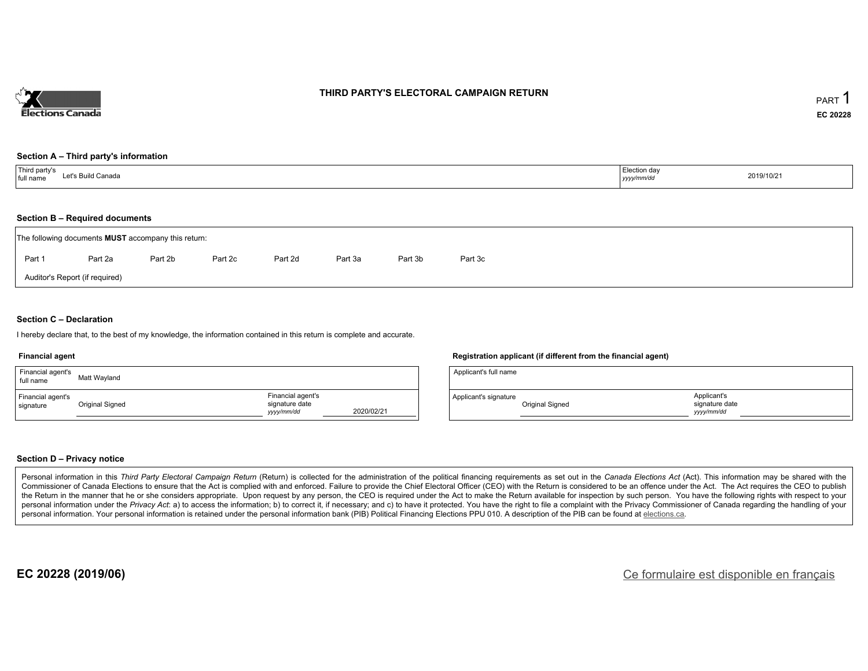

#### **THIRD PARTY'S ELECTORAL CAMPAIGN RETURN**

#### **Section A – Third party's information**

| <sup>1</sup> Third party's<br>Let's Build Canada<br>.<br>full name | Election day<br>yyyy/mm/dd | 2019/10/21 |
|--------------------------------------------------------------------|----------------------------|------------|
|--------------------------------------------------------------------|----------------------------|------------|

#### **Section B – Required documents**

| The following documents <b>MUST</b> accompany this return: |         |         |         |         |         |         |         |  |  |
|------------------------------------------------------------|---------|---------|---------|---------|---------|---------|---------|--|--|
| Part 1                                                     | Part 2a | Part 2b | Part 2c | Part 2d | Part 3a | Part 3b | Part 3c |  |  |
| Auditor's Report (if required)                             |         |         |         |         |         |         |         |  |  |

#### **Section C – Declaration**

I hereby declare that, to the best of my knowledge, the information contained in this return is complete and accurate.

#### **Financial agent**

| Financial agent's<br>full name | Matt Wayland    |                                                   |            |
|--------------------------------|-----------------|---------------------------------------------------|------------|
| Financial agent's<br>signature | Original Signed | Financial agent's<br>signature date<br>yyyy/mm/dd | 2020/02/21 |

#### **Registration applicant (if different from the financial agent)**

| Applicant's full name |                 |                                            |  |
|-----------------------|-----------------|--------------------------------------------|--|
| Applicant's signature | Original Signed | Applicant's<br>signature date<br>vyy/mm/dd |  |

#### **Section D – Privacy notice**

Personal information in this Third Party Electoral Campaign Return (Return) is collected for the administration of the political financing requirements as set out in the Canada Elections Act (Act). This information may be Commissioner of Canada Elections to ensure that the Act is complied with and enforced. Failure to provide the Chief Electoral Officer (CEO) with the Return is considered to be an offence under the Act. The Act requires the the Return in the manner that he or she considers appropriate. Upon request by any person, the CEO is required under the Act to make the Return available for inspection by such person. You have the following rights with re personal information under the Privacy Act: a) to access the information; b) to correct it, if necessary; and c) to have it protected. You have the right to file a complaint with the Privacy Commissioner of Canada regardin personal information. Your personal information is retained under the personal information bank (PIB) Political Financing Elections PPU 010. A description of the PIB can be found at elections.ca.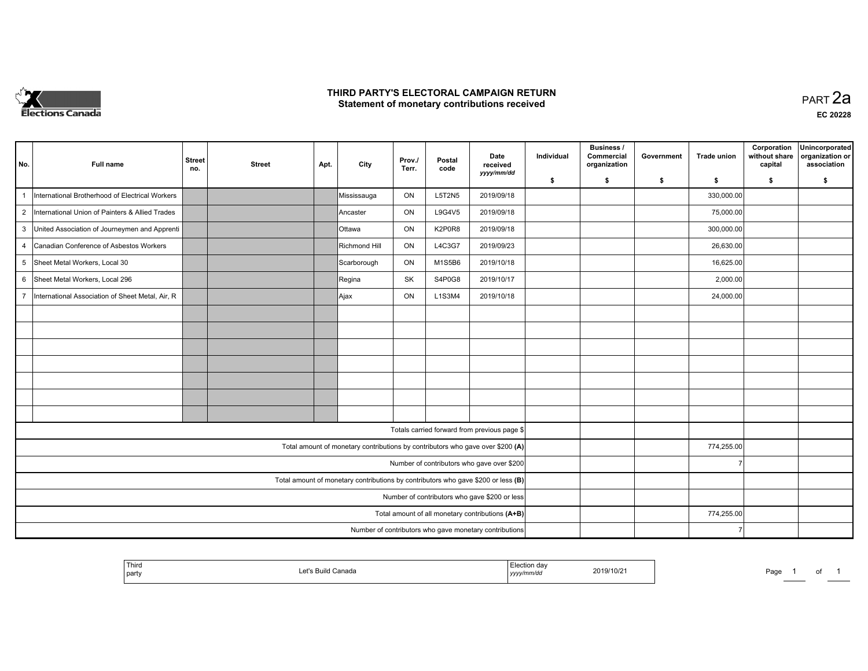

#### **THIRD PARTY'S ELECTORAL CAMPAIGN RETURN HIRD PARTY'S ELECTORAL CAMPAIGN RETURN<br>Statement of monetary contributions received PART 2a PART 2a**

| No.            | <b>Full name</b>                                   | <b>Street</b><br>no. | <b>Street</b> | Apt. | City                                                                              | Prov./<br>Terr. | Postal<br>code | Date<br>received<br>yyyy/mm/dd                         | Individual | <b>Business /</b><br>Commercial<br>organization | Government | <b>Trade union</b> | Corporation<br>without share<br>capital | Unincorporated<br>organization or<br>association |
|----------------|----------------------------------------------------|----------------------|---------------|------|-----------------------------------------------------------------------------------|-----------------|----------------|--------------------------------------------------------|------------|-------------------------------------------------|------------|--------------------|-----------------------------------------|--------------------------------------------------|
|                |                                                    |                      |               |      |                                                                                   |                 |                |                                                        | \$         | \$                                              | \$         | \$                 | \$                                      | \$                                               |
|                | International Brotherhood of Electrical Workers    |                      |               |      | Mississauga                                                                       | ON              | <b>L5T2N5</b>  | 2019/09/18                                             |            |                                                 |            | 330,000.00         |                                         |                                                  |
|                | 2  International Union of Painters & Allied Trades |                      |               |      | Ancaster                                                                          | ON              | L9G4V5         | 2019/09/18                                             |            |                                                 |            | 75,000.00          |                                         |                                                  |
|                | 3 United Association of Journeymen and Apprenti    |                      |               |      | Ottawa                                                                            | ON              | K2P0R8         | 2019/09/18                                             |            |                                                 |            | 300,000.00         |                                         |                                                  |
| $\overline{4}$ | Canadian Conference of Asbestos Workers            |                      |               |      | Richmond Hill                                                                     | ON              | L4C3G7         | 2019/09/23                                             |            |                                                 |            | 26,630.00          |                                         |                                                  |
| 5              | Sheet Metal Workers, Local 30                      |                      |               |      | Scarborough                                                                       | ON              | M1S5B6         | 2019/10/18                                             |            |                                                 |            | 16,625.00          |                                         |                                                  |
| 6              | Sheet Metal Workers, Local 296                     |                      |               |      | Regina                                                                            | SK              | S4P0G8         | 2019/10/17                                             |            |                                                 |            | 2,000.00           |                                         |                                                  |
| $\overline{7}$ | International Association of Sheet Metal, Air, R   |                      |               |      | Ajax                                                                              | ON              | L1S3M4         | 2019/10/18                                             |            |                                                 |            | 24,000.00          |                                         |                                                  |
|                |                                                    |                      |               |      |                                                                                   |                 |                |                                                        |            |                                                 |            |                    |                                         |                                                  |
|                |                                                    |                      |               |      |                                                                                   |                 |                |                                                        |            |                                                 |            |                    |                                         |                                                  |
|                |                                                    |                      |               |      |                                                                                   |                 |                |                                                        |            |                                                 |            |                    |                                         |                                                  |
|                |                                                    |                      |               |      |                                                                                   |                 |                |                                                        |            |                                                 |            |                    |                                         |                                                  |
|                |                                                    |                      |               |      |                                                                                   |                 |                |                                                        |            |                                                 |            |                    |                                         |                                                  |
|                |                                                    |                      |               |      |                                                                                   |                 |                |                                                        |            |                                                 |            |                    |                                         |                                                  |
|                |                                                    |                      |               |      |                                                                                   |                 |                |                                                        |            |                                                 |            |                    |                                         |                                                  |
|                |                                                    |                      |               |      |                                                                                   |                 |                | Totals carried forward from previous page \$           |            |                                                 |            |                    |                                         |                                                  |
|                |                                                    |                      |               |      | Total amount of monetary contributions by contributors who gave over \$200 (A)    |                 |                |                                                        |            |                                                 |            | 774,255.00         |                                         |                                                  |
|                |                                                    |                      |               |      |                                                                                   |                 |                | Number of contributors who gave over \$200             |            |                                                 |            |                    |                                         |                                                  |
|                |                                                    |                      |               |      | Total amount of monetary contributions by contributors who gave \$200 or less (B) |                 |                |                                                        |            |                                                 |            |                    |                                         |                                                  |
|                |                                                    |                      |               |      |                                                                                   |                 |                | Number of contributors who gave \$200 or less          |            |                                                 |            |                    |                                         |                                                  |
|                |                                                    |                      |               |      |                                                                                   |                 |                | Total amount of all monetary contributions (A+B)       |            |                                                 |            | 774,255.00         |                                         |                                                  |
|                |                                                    |                      |               |      |                                                                                   |                 |                | Number of contributors who gave monetary contributions |            |                                                 |            |                    |                                         |                                                  |

| Thirc<br>٬۵1۹/<br>Ganada<br>שוי<br>`oartv<br>,,,,, | -aa€<br>. |
|----------------------------------------------------|-----------|
|----------------------------------------------------|-----------|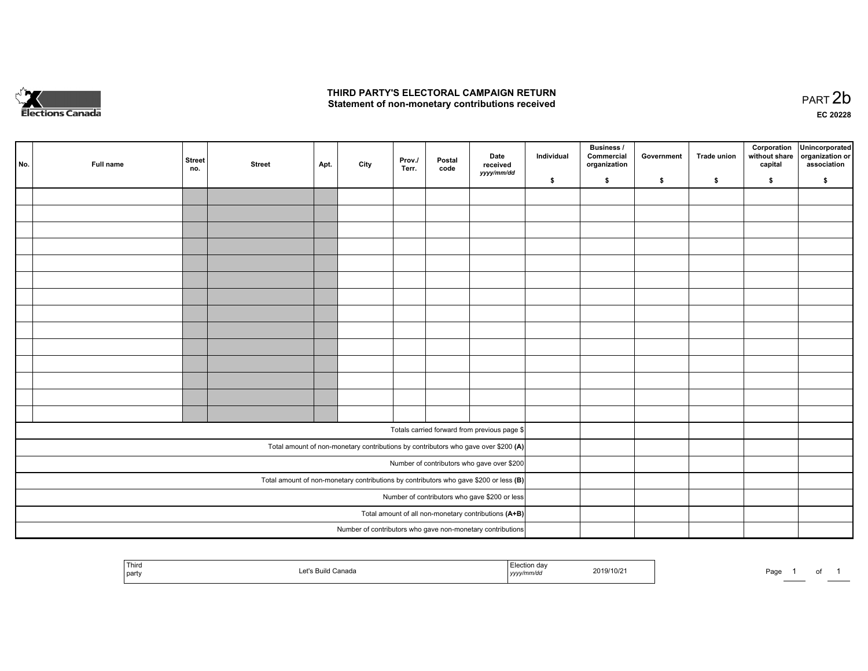

#### **THIRD PARTY'S ELECTORAL CAMPAIGN RETURN**  THIRD PARTY'S ELECTORAL CAMPAIGN RETURN<br>Statement of non-monetary contributions received

| No. | Full name | <b>Street</b><br>no. | <b>Street</b> | Apt. | City | Prov.<br>Terr. | Postal<br>code | Date<br>received<br>yyyy/mm/dd                                                          | Individual | <b>Business /</b><br>Commercial<br>organization | Government | Trade union | Corporation<br>without share<br>capital | Unincorporated<br>organization or<br>association |
|-----|-----------|----------------------|---------------|------|------|----------------|----------------|-----------------------------------------------------------------------------------------|------------|-------------------------------------------------|------------|-------------|-----------------------------------------|--------------------------------------------------|
|     |           |                      |               |      |      |                |                |                                                                                         | \$         | \$                                              | \$         | \$          | \$                                      | \$                                               |
|     |           |                      |               |      |      |                |                |                                                                                         |            |                                                 |            |             |                                         |                                                  |
|     |           |                      |               |      |      |                |                |                                                                                         |            |                                                 |            |             |                                         |                                                  |
|     |           |                      |               |      |      |                |                |                                                                                         |            |                                                 |            |             |                                         |                                                  |
|     |           |                      |               |      |      |                |                |                                                                                         |            |                                                 |            |             |                                         |                                                  |
|     |           |                      |               |      |      |                |                |                                                                                         |            |                                                 |            |             |                                         |                                                  |
|     |           |                      |               |      |      |                |                |                                                                                         |            |                                                 |            |             |                                         |                                                  |
|     |           |                      |               |      |      |                |                |                                                                                         |            |                                                 |            |             |                                         |                                                  |
|     |           |                      |               |      |      |                |                |                                                                                         |            |                                                 |            |             |                                         |                                                  |
|     |           |                      |               |      |      |                |                |                                                                                         |            |                                                 |            |             |                                         |                                                  |
|     |           |                      |               |      |      |                |                |                                                                                         |            |                                                 |            |             |                                         |                                                  |
|     |           |                      |               |      |      |                |                |                                                                                         |            |                                                 |            |             |                                         |                                                  |
|     |           |                      |               |      |      |                |                |                                                                                         |            |                                                 |            |             |                                         |                                                  |
|     |           |                      |               |      |      |                |                |                                                                                         |            |                                                 |            |             |                                         |                                                  |
|     |           |                      |               |      |      |                |                |                                                                                         |            |                                                 |            |             |                                         |                                                  |
|     |           |                      |               |      |      |                |                |                                                                                         |            |                                                 |            |             |                                         |                                                  |
|     |           |                      |               |      |      |                |                | Totals carried forward from previous page \$                                            |            |                                                 |            |             |                                         |                                                  |
|     |           |                      |               |      |      |                |                | Total amount of non-monetary contributions by contributors who gave over \$200 (A)      |            |                                                 |            |             |                                         |                                                  |
|     |           |                      |               |      |      |                |                | Number of contributors who gave over \$200                                              |            |                                                 |            |             |                                         |                                                  |
|     |           |                      |               |      |      |                |                | Total amount of non-monetary contributions by contributors who gave \$200 or less $(B)$ |            |                                                 |            |             |                                         |                                                  |
|     |           |                      |               |      |      |                |                | Number of contributors who gave \$200 or less                                           |            |                                                 |            |             |                                         |                                                  |
|     |           |                      |               |      |      |                |                | Total amount of all non-monetary contributions (A+B)                                    |            |                                                 |            |             |                                         |                                                  |
|     |           |                      |               |      |      |                |                | Number of contributors who gave non-monetary contributions                              |            |                                                 |            |             |                                         |                                                  |
|     |           |                      |               |      |      |                |                |                                                                                         |            |                                                 |            |             |                                         |                                                  |

| Third<br>l party | <sup>1</sup> Canada<br>וווור | .<br>2019/10/2<br>mrvaa<br>$1$ <i>yyyy</i> | Page |
|------------------|------------------------------|--------------------------------------------|------|
|------------------|------------------------------|--------------------------------------------|------|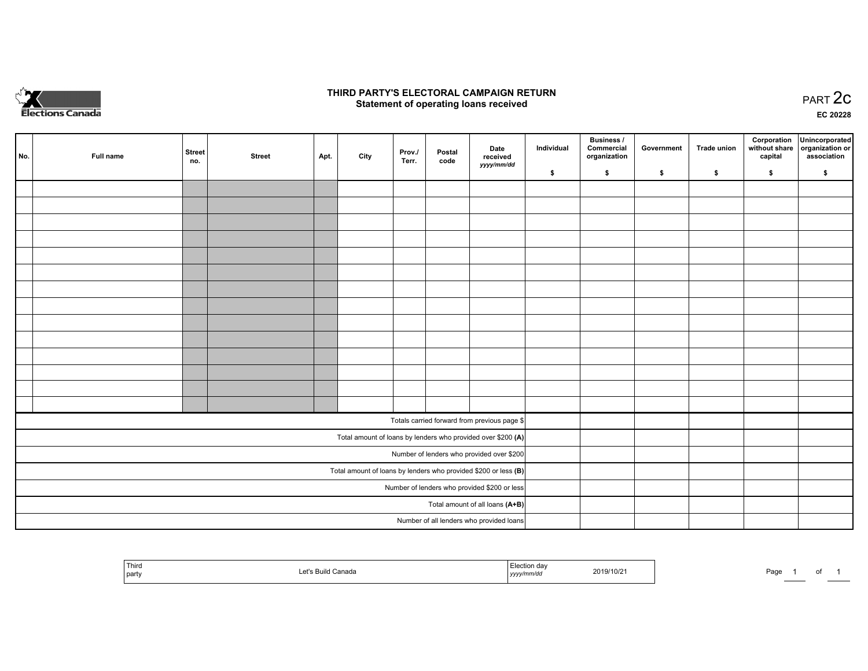

#### **THIRD PARTY'S ELECTORAL CAMPAIGN RETURN STATE:** PRACT OF OPPRESS TO PART 2C STATE STATE STATE STATE STATE STATE STATE STATE STATE STATE STATE STATE STA<br>PART 2C Statement of operating loans received

**EC 20228**

| No. | Full name | <b>Street</b><br>no. | <b>Street</b> | Apt. | City | Prov./<br>Terr. | Postal<br>code | Date<br>received                                                | Individual | <b>Business /</b><br>Commercial<br>organization | Government | <b>Trade union</b> | Corporation<br>capital | Unincorporated<br>without share organization or<br>association |
|-----|-----------|----------------------|---------------|------|------|-----------------|----------------|-----------------------------------------------------------------|------------|-------------------------------------------------|------------|--------------------|------------------------|----------------------------------------------------------------|
|     |           |                      |               |      |      |                 |                | yyyy/mm/dd                                                      | \$         | \$                                              | \$         | \$                 | \$                     | \$                                                             |
|     |           |                      |               |      |      |                 |                |                                                                 |            |                                                 |            |                    |                        |                                                                |
|     |           |                      |               |      |      |                 |                |                                                                 |            |                                                 |            |                    |                        |                                                                |
|     |           |                      |               |      |      |                 |                |                                                                 |            |                                                 |            |                    |                        |                                                                |
|     |           |                      |               |      |      |                 |                |                                                                 |            |                                                 |            |                    |                        |                                                                |
|     |           |                      |               |      |      |                 |                |                                                                 |            |                                                 |            |                    |                        |                                                                |
|     |           |                      |               |      |      |                 |                |                                                                 |            |                                                 |            |                    |                        |                                                                |
|     |           |                      |               |      |      |                 |                |                                                                 |            |                                                 |            |                    |                        |                                                                |
|     |           |                      |               |      |      |                 |                |                                                                 |            |                                                 |            |                    |                        |                                                                |
|     |           |                      |               |      |      |                 |                |                                                                 |            |                                                 |            |                    |                        |                                                                |
|     |           |                      |               |      |      |                 |                |                                                                 |            |                                                 |            |                    |                        |                                                                |
|     |           |                      |               |      |      |                 |                |                                                                 |            |                                                 |            |                    |                        |                                                                |
|     |           |                      |               |      |      |                 |                |                                                                 |            |                                                 |            |                    |                        |                                                                |
|     |           |                      |               |      |      |                 |                |                                                                 |            |                                                 |            |                    |                        |                                                                |
|     |           |                      |               |      |      |                 |                |                                                                 |            |                                                 |            |                    |                        |                                                                |
|     |           |                      |               |      |      |                 |                | Totals carried forward from previous page \$                    |            |                                                 |            |                    |                        |                                                                |
|     |           |                      |               |      |      |                 |                | Total amount of loans by lenders who provided over \$200 (A)    |            |                                                 |            |                    |                        |                                                                |
|     |           |                      |               |      |      |                 |                | Number of lenders who provided over \$200                       |            |                                                 |            |                    |                        |                                                                |
|     |           |                      |               |      |      |                 |                | Total amount of loans by lenders who provided \$200 or less (B) |            |                                                 |            |                    |                        |                                                                |
|     |           |                      |               |      |      |                 |                | Number of lenders who provided \$200 or less                    |            |                                                 |            |                    |                        |                                                                |
|     |           |                      |               |      |      |                 |                | Total amount of all loans (A+B)                                 |            |                                                 |            |                    |                        |                                                                |
|     |           |                      |               |      |      |                 |                | Number of all lenders who provided loans                        |            |                                                 |            |                    |                        |                                                                |

| Third<br>  party |  | ,,,, | ,,,, | Page |  |
|------------------|--|------|------|------|--|
|------------------|--|------|------|------|--|

of 1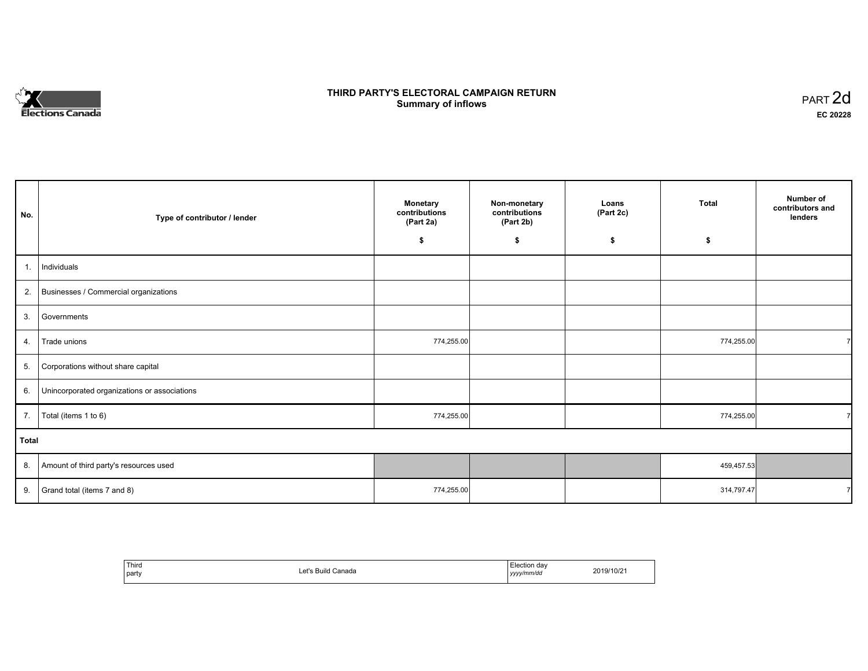# **Elections Canada**

## **THIRD PARTY'S ELECTORAL CAMPAIGN RETURN Summary of inflows**

| PART <sub>2d</sub> |  |
|--------------------|--|
| EC 20228           |  |

| No.   | Type of contributor / lender                 | <b>Monetary</b><br>contributions<br>(Part 2a) | Non-monetary<br>contributions<br>(Part 2b) | Loans<br>(Part 2c) | <b>Total</b> | Number of<br>contributors and<br>lenders |
|-------|----------------------------------------------|-----------------------------------------------|--------------------------------------------|--------------------|--------------|------------------------------------------|
|       |                                              | \$                                            | \$                                         | \$                 | \$           |                                          |
| 1.    | Individuals                                  |                                               |                                            |                    |              |                                          |
| 2.    | Businesses / Commercial organizations        |                                               |                                            |                    |              |                                          |
| 3.    | Governments                                  |                                               |                                            |                    |              |                                          |
| 4.    | Trade unions                                 | 774,255.00                                    |                                            |                    | 774,255.00   |                                          |
| 5.    | Corporations without share capital           |                                               |                                            |                    |              |                                          |
| 6.    | Unincorporated organizations or associations |                                               |                                            |                    |              |                                          |
| 7.    | Total (items 1 to 6)                         | 774,255.00                                    |                                            |                    | 774,255.00   | $\overline{7}$                           |
| Total |                                              |                                               |                                            |                    |              |                                          |
| 8.    | Amount of third party's resources used       |                                               |                                            |                    | 459,457.53   |                                          |
| 9.    | Grand total (items 7 and 8)                  | 774,255.00                                    |                                            |                    | 314,797.47   | $\overline{7}$                           |

| Third<br>party | ،'†ہ .<br>;anada<br>Puild U<br>- 1 | ı dav<br>.<br>$\sim$ $\sim$<br>` <i>*v/mm/da</i><br>,,,, | $\sim$<br><b>nn-</b><br>'10/2 |
|----------------|------------------------------------|----------------------------------------------------------|-------------------------------|
|----------------|------------------------------------|----------------------------------------------------------|-------------------------------|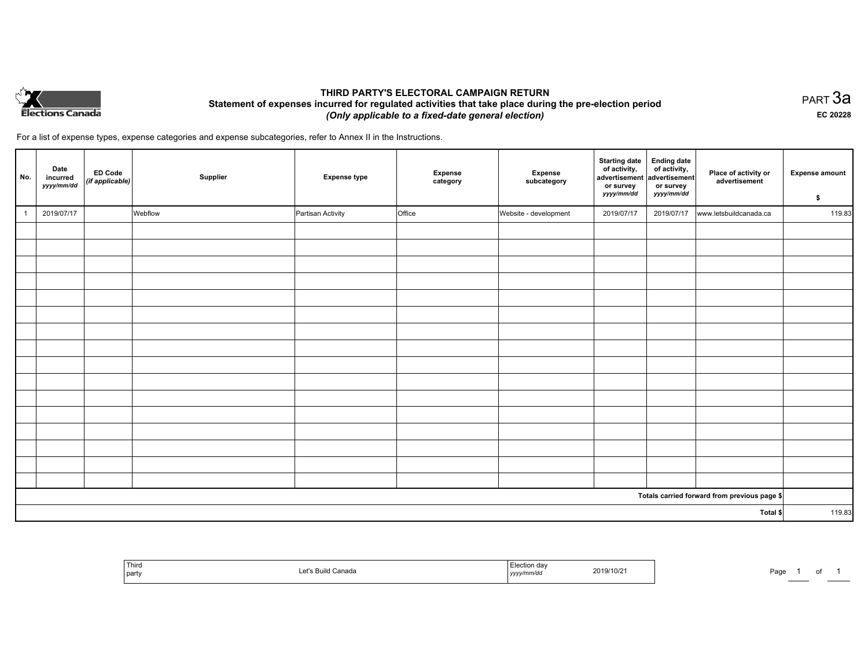

### **THIRD PARTY'S ELECTORAL CAMPAIGN RETURN Statement of expenses incurred for regulated activities that take place during the pre-election period**  *(Only applicable to a fixed-date general election)*

PART 3a **EC 20228**

For a list of expense types, expense categories and expense subcategories, refer to Annex II in the Instructions.

| No. | Date<br>incurred<br>yyyy/mm/dd | ED Code<br>(if applicable) | Supplier | <b>Expense type</b> | Expense<br>category | Expense<br>subcategory | <b>Starting date</b><br>of activity,<br>advertisement<br>or survey<br>yyyy/mm/dd | Ending date<br>of activity,<br>advertisement<br>or survey<br>yyyy/mm/dd | Place of activity or<br>advertisement        | <b>Expense amount</b><br>\$ |
|-----|--------------------------------|----------------------------|----------|---------------------|---------------------|------------------------|----------------------------------------------------------------------------------|-------------------------------------------------------------------------|----------------------------------------------|-----------------------------|
|     | 2019/07/17                     |                            | Webflow  | Partisan Activity   | Office              | Website - development  | 2019/07/17                                                                       | 2019/07/17                                                              | www.letsbuildcanada.ca                       | 119.83                      |
|     |                                |                            |          |                     |                     |                        |                                                                                  |                                                                         |                                              |                             |
|     |                                |                            |          |                     |                     |                        |                                                                                  |                                                                         |                                              |                             |
|     |                                |                            |          |                     |                     |                        |                                                                                  |                                                                         |                                              |                             |
|     |                                |                            |          |                     |                     |                        |                                                                                  |                                                                         |                                              |                             |
|     |                                |                            |          |                     |                     |                        |                                                                                  |                                                                         |                                              |                             |
|     |                                |                            |          |                     |                     |                        |                                                                                  |                                                                         |                                              |                             |
|     |                                |                            |          |                     |                     |                        |                                                                                  |                                                                         |                                              |                             |
|     |                                |                            |          |                     |                     |                        |                                                                                  |                                                                         |                                              |                             |
|     |                                |                            |          |                     |                     |                        |                                                                                  |                                                                         |                                              |                             |
|     |                                |                            |          |                     |                     |                        |                                                                                  |                                                                         |                                              |                             |
|     |                                |                            |          |                     |                     |                        |                                                                                  |                                                                         |                                              |                             |
|     |                                |                            |          |                     |                     |                        |                                                                                  |                                                                         |                                              |                             |
|     |                                |                            |          |                     |                     |                        |                                                                                  |                                                                         |                                              |                             |
|     |                                |                            |          |                     |                     |                        |                                                                                  |                                                                         |                                              |                             |
|     |                                |                            |          |                     |                     |                        |                                                                                  |                                                                         |                                              |                             |
|     |                                |                            |          |                     |                     |                        |                                                                                  |                                                                         |                                              |                             |
|     |                                |                            |          |                     |                     |                        |                                                                                  |                                                                         | Totals carried forward from previous page \$ |                             |
|     |                                |                            |          |                     |                     |                        |                                                                                  |                                                                         | Total \$                                     | 119.83                      |

| Third<br>party | Canada | 2019/10/2<br>the contract of the contract of the contract of the contract of the contract of<br>, <i>yyyy</i> | Pag |
|----------------|--------|---------------------------------------------------------------------------------------------------------------|-----|
|----------------|--------|---------------------------------------------------------------------------------------------------------------|-----|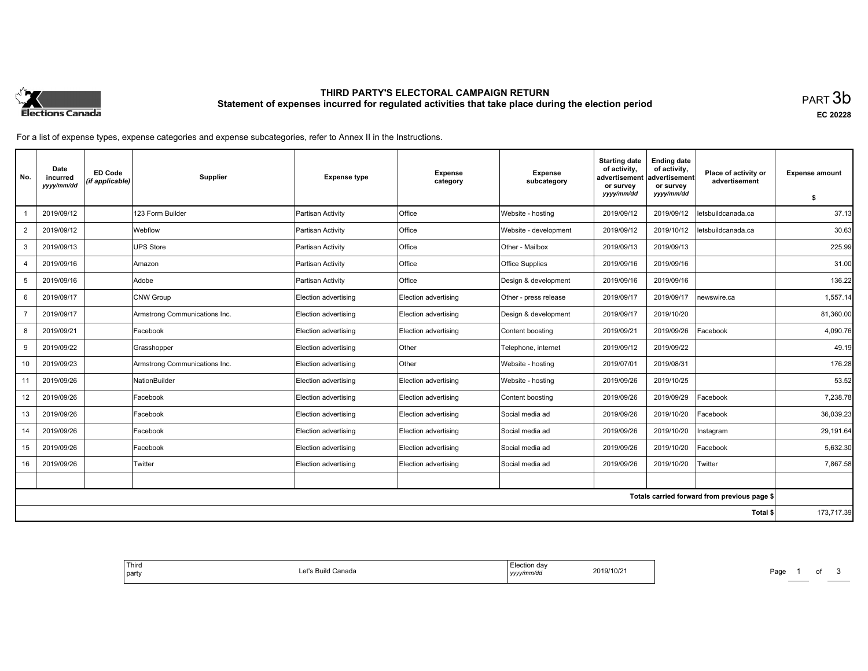

# **THIRD PARTY'S ELECTORAL CAMPAIGN RETURN Statement of expenses incurred for regulated activities that take place during the election period**<br>PART  $3\mathsf{b}$

**EC 20228**

For a list of expense types, expense categories and expense subcategories, refer to Annex II in the Instructions.

| No.            | Date<br>incurred<br>yyyy/mm/dd | <b>ED Code</b><br>(if applicable) | Supplier                      | <b>Expense type</b>  | <b>Expense</b><br>category | <b>Expense</b><br>subcategory | <b>Starting date</b><br>of activity.<br>advertisement<br>or survey | <b>Ending date</b><br>of activity,<br>advertisement<br>or survey | Place of activity or<br>advertisement        | <b>Expense amount</b> |
|----------------|--------------------------------|-----------------------------------|-------------------------------|----------------------|----------------------------|-------------------------------|--------------------------------------------------------------------|------------------------------------------------------------------|----------------------------------------------|-----------------------|
|                |                                |                                   |                               |                      |                            |                               | yyyy/mm/dd                                                         | yyyy/mm/dd                                                       |                                              | S.                    |
|                | 2019/09/12                     |                                   | 123 Form Builder              | Partisan Activity    | Office                     | Website - hosting             | 2019/09/12                                                         | 2019/09/12                                                       | letsbuildcanada.ca                           | 37.13                 |
| 2              | 2019/09/12                     |                                   | Webflow                       | Partisan Activity    | <b>Office</b>              | Website - development         | 2019/09/12                                                         | 2019/10/12                                                       | letsbuildcanada.ca                           | 30.63                 |
| 3              | 2019/09/13                     |                                   | <b>UPS Store</b>              | Partisan Activity    | Office                     | Other - Mailbox               | 2019/09/13                                                         | 2019/09/13                                                       |                                              | 225.99                |
| 4              | 2019/09/16                     |                                   | Amazon                        | Partisan Activity    | Office                     | <b>Office Supplies</b>        | 2019/09/16                                                         | 2019/09/16                                                       |                                              | 31.00                 |
| 5              | 2019/09/16                     |                                   | Adobe                         | Partisan Activity    | <b>Office</b>              | Design & development          | 2019/09/16                                                         | 2019/09/16                                                       |                                              | 136.22                |
| 6              | 2019/09/17                     |                                   | CNW Group                     | Election advertising | Election advertising       | Other - press release         | 2019/09/17                                                         | 2019/09/17                                                       | newswire.ca                                  | 1,557.14              |
| $\overline{7}$ | 2019/09/17                     |                                   | Armstrong Communications Inc. | Election advertising | Election advertising       | Design & development          | 2019/09/17                                                         | 2019/10/20                                                       |                                              | 81,360.00             |
| 8              | 2019/09/21                     |                                   | Facebook                      | Election advertising | Election advertising       | Content boosting              | 2019/09/21                                                         | 2019/09/26                                                       | Facebook                                     | 4,090.76              |
| 9              | 2019/09/22                     |                                   | Grasshopper                   | Election advertising | <b>Other</b>               | Telephone, internet           | 2019/09/12                                                         | 2019/09/22                                                       |                                              | 49.19                 |
| 10             | 2019/09/23                     |                                   | Armstrong Communications Inc. | Election advertising | Other                      | Website - hosting             | 2019/07/01                                                         | 2019/08/31                                                       |                                              | 176.28                |
| 11             | 2019/09/26                     |                                   | NationBuilder                 | Election advertising | Election advertising       | Website - hosting             | 2019/09/26                                                         | 2019/10/25                                                       |                                              | 53.52                 |
| 12             | 2019/09/26                     |                                   | Facebook                      | Election advertising | Election advertising       | Content boosting              | 2019/09/26                                                         | 2019/09/29                                                       | Facebook                                     | 7,238.78              |
| 13             | 2019/09/26                     |                                   | Facebook                      | Election advertising | Election advertising       | Social media ad               | 2019/09/26                                                         | 2019/10/20                                                       | Facebook                                     | 36,039.23             |
| 14             | 2019/09/26                     |                                   | Facebook                      | Election advertising | Election advertising       | Social media ad               | 2019/09/26                                                         | 2019/10/20                                                       | Instagram                                    | 29,191.64             |
| 15             | 2019/09/26                     |                                   | Facebook                      | Election advertising | Election advertising       | Social media ad               | 2019/09/26                                                         | 2019/10/20                                                       | Facebook                                     | 5.632.30              |
| 16             | 2019/09/26                     |                                   | Twitter                       | Election advertising | Election advertising       | Social media ad               | 2019/09/26                                                         | 2019/10/20                                                       | Twitter                                      | 7,867.58              |
|                |                                |                                   |                               |                      |                            |                               |                                                                    |                                                                  |                                              |                       |
|                |                                |                                   |                               |                      |                            |                               |                                                                    |                                                                  | Totals carried forward from previous page \$ |                       |
|                |                                |                                   |                               |                      |                            |                               |                                                                    |                                                                  | Total \$                                     | 173,717.39            |

| , dav<br>'ION<br>2019/10/21<br>Canada<br>ົດ+"<br>.<br>∟⊏ເ⊳<br>√mm/do<br>.,,,,<br>$\sim$ $\sim$ | ' Third<br>party |  |
|------------------------------------------------------------------------------------------------|------------------|--|
|------------------------------------------------------------------------------------------------|------------------|--|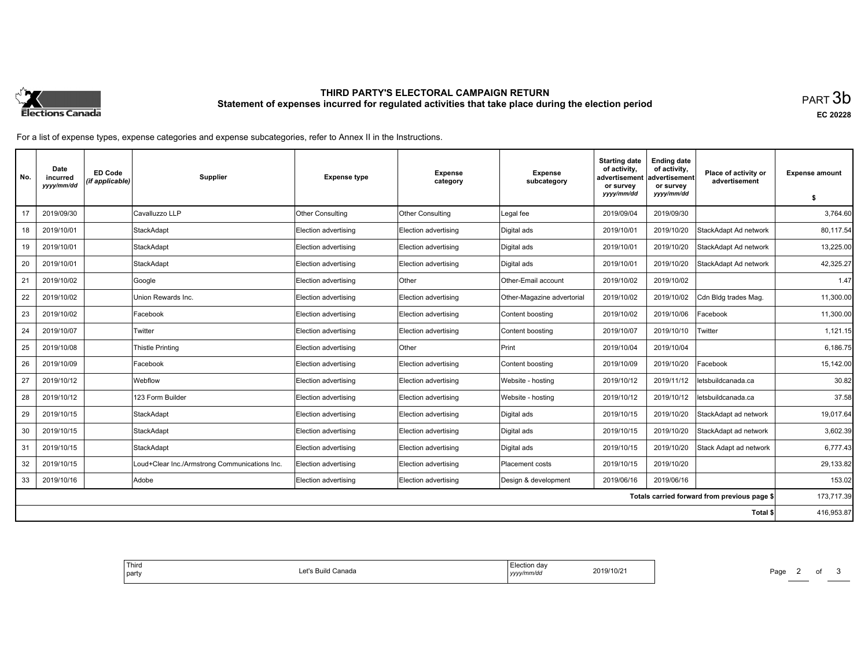

# **THIRD PARTY'S ELECTORAL CAMPAIGN RETURN Statement of expenses incurred for regulated activities that take place during the election period**<br>PART  $3\mathsf{b}$

**EC 20228**

For a list of expense types, expense categories and expense subcategories, refer to Annex II in the Instructions.

| No. | Date<br>incurred<br>yyyy/mm/dd | <b>ED Code</b><br>(if applicable) | Supplier                                      | <b>Expense type</b>  | <b>Expense</b><br>category | <b>Expense</b><br>subcategory | <b>Starting date</b><br>of activity.<br>advertisement<br>or survey | <b>Ending date</b><br>of activity,<br>advertisement<br>or survey | Place of activity or<br>advertisement        | <b>Expense amount</b> |
|-----|--------------------------------|-----------------------------------|-----------------------------------------------|----------------------|----------------------------|-------------------------------|--------------------------------------------------------------------|------------------------------------------------------------------|----------------------------------------------|-----------------------|
|     |                                |                                   |                                               |                      |                            |                               | yyyy/mm/dd                                                         | yyyy/mm/dd                                                       |                                              | \$                    |
| 17  | 2019/09/30                     |                                   | Cavalluzzo LLP                                | Other Consulting     | Other Consulting           | Legal fee                     | 2019/09/04                                                         | 2019/09/30                                                       |                                              | 3,764.60              |
| 18  | 2019/10/01                     |                                   | <b>StackAdapt</b>                             | Election advertising | Election advertising       | Digital ads                   | 2019/10/01                                                         | 2019/10/20                                                       | StackAdapt Ad network                        | 80,117.54             |
| 19  | 2019/10/01                     |                                   | <b>StackAdapt</b>                             | Election advertising | Election advertising       | Digital ads                   | 2019/10/01                                                         | 2019/10/20                                                       | StackAdapt Ad network                        | 13,225.00             |
| 20  | 2019/10/01                     |                                   | StackAdapt                                    | Election advertising | Election advertising       | Digital ads                   | 2019/10/01                                                         | 2019/10/20                                                       | StackAdapt Ad network                        | 42.325.27             |
| 21  | 2019/10/02                     |                                   | Google                                        | Election advertising | Other                      | Other-Email account           | 2019/10/02                                                         | 2019/10/02                                                       |                                              | 1.47                  |
| 22  | 2019/10/02                     |                                   | Union Rewards Inc.                            | Election advertising | Election advertising       | Other-Magazine advertorial    | 2019/10/02                                                         | 2019/10/02                                                       | Cdn Bldg trades Mag.                         | 11,300.00             |
| 23  | 2019/10/02                     |                                   | Facebook                                      | Election advertising | Election advertising       | Content boosting              | 2019/10/02                                                         | 2019/10/06                                                       | Facebook                                     | 11,300.00             |
| 24  | 2019/10/07                     |                                   | Twitter                                       | Election advertising | Election advertising       | Content boosting              | 2019/10/07                                                         | 2019/10/10                                                       | Twitter                                      | 1,121.15              |
| 25  | 2019/10/08                     |                                   | <b>Thistle Printing</b>                       | Election advertising | Other                      | Print                         | 2019/10/04                                                         | 2019/10/04                                                       |                                              | 6,186.75              |
| 26  | 2019/10/09                     |                                   | Facebook                                      | Election advertising | Election advertising       | Content boosting              | 2019/10/09                                                         | 2019/10/20                                                       | Facebook                                     | 15.142.00             |
| 27  | 2019/10/12                     |                                   | Webflow                                       | Election advertising | Election advertising       | Website - hosting             | 2019/10/12                                                         | 2019/11/12                                                       | letsbuildcanada.ca                           | 30.82                 |
| 28  | 2019/10/12                     |                                   | 123 Form Builder                              | Election advertising | Election advertising       | Website - hosting             | 2019/10/12                                                         | 2019/10/12                                                       | letsbuildcanada.ca                           | 37.58                 |
| 29  | 2019/10/15                     |                                   | StackAdapt                                    | Election advertising | Election advertising       | Digital ads                   | 2019/10/15                                                         | 2019/10/20                                                       | StackAdapt ad network                        | 19,017.64             |
| 30  | 2019/10/15                     |                                   | StackAdapt                                    | Election advertising | Election advertising       | Digital ads                   | 2019/10/15                                                         | 2019/10/20                                                       | StackAdapt ad network                        | 3,602.39              |
| 31  | 2019/10/15                     |                                   | <b>StackAdapt</b>                             | Election advertising | Election advertising       | Digital ads                   | 2019/10/15                                                         | 2019/10/20                                                       | Stack Adapt ad network                       | 6,777.43              |
| 32  | 2019/10/15                     |                                   | Loud+Clear Inc./Armstrong Communications Inc. | Election advertising | Election advertising       | Placement costs               | 2019/10/15                                                         | 2019/10/20                                                       |                                              | 29,133.82             |
| 33  | 2019/10/16                     |                                   | Adobe                                         | Election advertising | Election advertising       | Design & development          | 2019/06/16                                                         | 2019/06/16                                                       |                                              | 153.02                |
|     |                                |                                   |                                               |                      |                            |                               |                                                                    |                                                                  | Totals carried forward from previous page \$ | 173,717.39            |
|     |                                |                                   |                                               |                      |                            |                               |                                                                    |                                                                  | Total \$                                     | 416,953.87            |

| Third<br>l party | Build Canada<br>$A$ of $\circ$<br>LEI 5 | Election day<br>yyyy/mm/dd | 2019/10/21 |
|------------------|-----------------------------------------|----------------------------|------------|
|                  |                                         |                            |            |

Page 2 of 3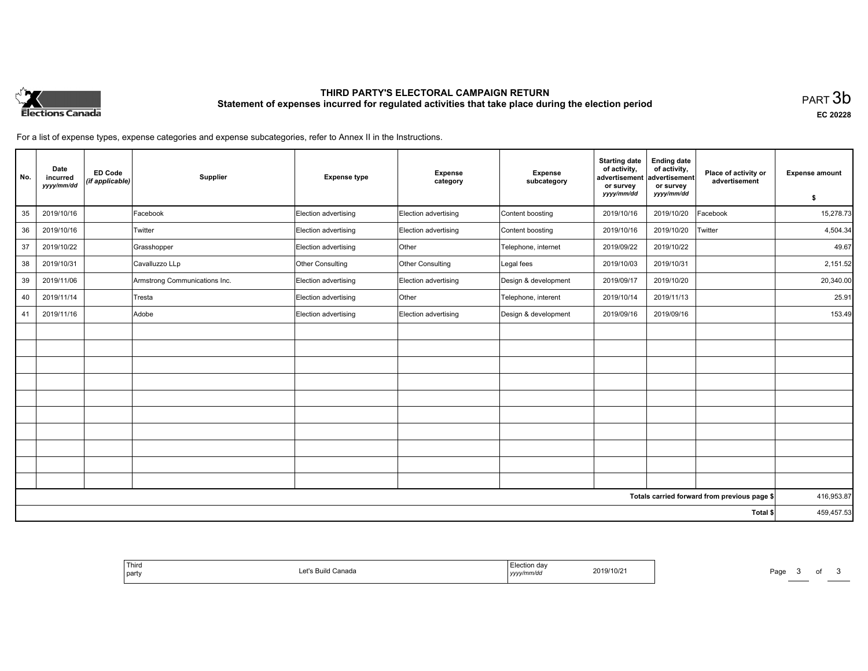

# **THIRD PARTY'S ELECTORAL CAMPAIGN RETURN Statement of expenses incurred for regulated activities that take place during the election period**<br>PART  $3\mathsf{b}$

**EC 20228**

For a list of expense types, expense categories and expense subcategories, refer to Annex II in the Instructions.

| No. | Date<br>incurred<br>yyyy/mm/dd | <b>ED Code</b><br>(if applicable) | Supplier                      | <b>Expense type</b>  | <b>Expense</b><br>category | <b>Expense</b><br>subcategory | <b>Starting date</b><br>of activity,<br>advertisement<br>or survey | <b>Ending date</b><br>of activity,<br>advertisement<br>or survey | Place of activity or<br>advertisement        | <b>Expense amount</b> |
|-----|--------------------------------|-----------------------------------|-------------------------------|----------------------|----------------------------|-------------------------------|--------------------------------------------------------------------|------------------------------------------------------------------|----------------------------------------------|-----------------------|
|     |                                |                                   |                               |                      |                            |                               | yyyy/mm/dd                                                         | yyyy/mm/dd                                                       |                                              | \$                    |
| 35  | 2019/10/16                     |                                   | Facebook                      | Election advertising | Election advertising       | Content boosting              | 2019/10/16                                                         | 2019/10/20                                                       | Facebook                                     | 15,278.73             |
| 36  | 2019/10/16                     |                                   | Twitter                       | Election advertising | Election advertising       | Content boosting              | 2019/10/16                                                         | 2019/10/20                                                       | Twitter                                      | 4,504.34              |
| 37  | 2019/10/22                     |                                   | Grasshopper                   | Election advertising | Other                      | Telephone, internet           | 2019/09/22                                                         | 2019/10/22                                                       |                                              | 49.67                 |
| 38  | 2019/10/31                     |                                   | Cavalluzzo LLp                | Other Consulting     | Other Consulting           | Legal fees                    | 2019/10/03                                                         | 2019/10/31                                                       |                                              | 2,151.52              |
| 39  | 2019/11/06                     |                                   | Armstrong Communications Inc. | Election advertising | Election advertising       | Design & development          | 2019/09/17                                                         | 2019/10/20                                                       |                                              | 20,340.00             |
| 40  | 2019/11/14                     |                                   | Tresta                        | Election advertising | Other                      | Telephone, interent           | 2019/10/14                                                         | 2019/11/13                                                       |                                              | 25.91                 |
| 41  | 2019/11/16                     |                                   | Adobe                         | Election advertising | Election advertising       | Design & development          | 2019/09/16                                                         | 2019/09/16                                                       |                                              | 153.49                |
|     |                                |                                   |                               |                      |                            |                               |                                                                    |                                                                  |                                              |                       |
|     |                                |                                   |                               |                      |                            |                               |                                                                    |                                                                  |                                              |                       |
|     |                                |                                   |                               |                      |                            |                               |                                                                    |                                                                  |                                              |                       |
|     |                                |                                   |                               |                      |                            |                               |                                                                    |                                                                  |                                              |                       |
|     |                                |                                   |                               |                      |                            |                               |                                                                    |                                                                  |                                              |                       |
|     |                                |                                   |                               |                      |                            |                               |                                                                    |                                                                  |                                              |                       |
|     |                                |                                   |                               |                      |                            |                               |                                                                    |                                                                  |                                              |                       |
|     |                                |                                   |                               |                      |                            |                               |                                                                    |                                                                  |                                              |                       |
|     |                                |                                   |                               |                      |                            |                               |                                                                    |                                                                  |                                              |                       |
|     |                                |                                   |                               |                      |                            |                               |                                                                    |                                                                  |                                              |                       |
|     |                                |                                   |                               |                      |                            |                               |                                                                    |                                                                  | Totals carried forward from previous page \$ | 416,953.87            |
|     |                                |                                   |                               |                      |                            |                               |                                                                    |                                                                  | Total \$                                     | 459,457.53            |

|--|

Page 3 of 3